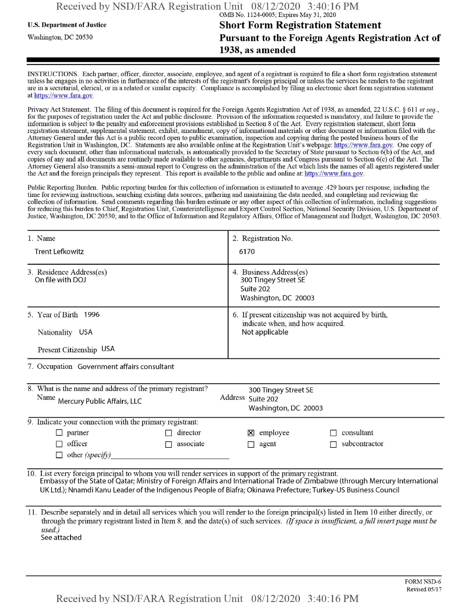# **u.s.** Department ofJustice **Short Form Registration Statement** Washington, dc <sup>20530</sup> **Pursuant to the Foreign Agents Registration Act of 1938, as amended**

INSTRUCTIONS. Each partner, officer, director, associate, employee, and agent of a registrant is required to file a short form registration statement unless he engages in no activities in furtherance ofthe interests ofthe registrant's foreign principal or unless the services he renders to the registrant are in a secretarial, clerical, or in a related or similar capacity. Compliance is accomplished by filing an electronic short form registration statement at https://www.fara.gov.

Privacy Act Statement. The filing of this document is required for the Foreign Agents Registration Act of 1938, as amended, 22 U.S.C. § 611 et seq., for the purposes ofregistration under the Act and public disclosure. Provision ofthe information requested is mandatory, and failure to provide the information is subject to the penalty and enforcement provisions established in Section 8 ofthe Act. Every registration statement, short form registration statement, supplemental statement, exhibit, amendment, copy ofinformational materials or other document or information filed with the Attorney General under this Act is a public record open to public examination, inspection and copying during the posted business hours ofthe Registration Unit in Washington, DC. Statements are also available online at the Registration Unit's webpage: https://www.fara.gov. One copy of every such document, other than informational materials, is automatically provided to the Secretary of State pursuant to Section 6(b) of the Act, and copies ofany and all documents are routinely made available to other agencies, departments and Congress pursuant to Section 6(c) ofthe Act. The Attorney General also transmits a semi-annual report to Congress on the administration ofthe Act which lists the names of all agents registered under the Act and the foreign principals they represent. This report is available to the public and online at: https://www.fara.gov.

Public Reporting Burden. Public reporting burden for this collection ofinformation is estimated to average .429 hours per response, including the time for reviewing instructions, searching existing data sources, gathering and maintaining the data needed, and completing and reviewing the collection of information. Send comments regarding this burden estimate or any other aspect of this collection of information, including suggestions for reducing this burden to Chief, Registration Unit, Counterintelligence and Export Control Section, National Security Division, U.S. Department of Justice, Washington, DC 20530; and to the Office of Information and Regulatory Affairs, Office of Management and Budget, Washington, DC 20503.

| 1. Name                                                                                                                                                                                                                                                                                                                                                     | 2. Registration No.                                                                                                                                                                                                                                                                    |  |  |  |  |
|-------------------------------------------------------------------------------------------------------------------------------------------------------------------------------------------------------------------------------------------------------------------------------------------------------------------------------------------------------------|----------------------------------------------------------------------------------------------------------------------------------------------------------------------------------------------------------------------------------------------------------------------------------------|--|--|--|--|
| <b>Trent Lefkowitz</b>                                                                                                                                                                                                                                                                                                                                      | 6170                                                                                                                                                                                                                                                                                   |  |  |  |  |
| 3. Residence Address(es)<br>On file with DOJ                                                                                                                                                                                                                                                                                                                | 4. Business Address(es)<br>300 Tingey Street SE<br>Suite 202<br>Washington, DC 20003                                                                                                                                                                                                   |  |  |  |  |
| 5. Year of Birth 1996                                                                                                                                                                                                                                                                                                                                       | 6. If present citizenship was not acquired by birth,                                                                                                                                                                                                                                   |  |  |  |  |
| Nationality USA                                                                                                                                                                                                                                                                                                                                             | indicate when, and how acquired.<br>Not applicable                                                                                                                                                                                                                                     |  |  |  |  |
| Present Citizenship USA                                                                                                                                                                                                                                                                                                                                     |                                                                                                                                                                                                                                                                                        |  |  |  |  |
| 7. Occupation Government affairs consultant                                                                                                                                                                                                                                                                                                                 |                                                                                                                                                                                                                                                                                        |  |  |  |  |
| 8. What is the name and address of the primary registrant?<br>300 Tingey Street SE                                                                                                                                                                                                                                                                          |                                                                                                                                                                                                                                                                                        |  |  |  |  |
| Address Suite 202<br>Name Mercury Public Affairs, LLC                                                                                                                                                                                                                                                                                                       |                                                                                                                                                                                                                                                                                        |  |  |  |  |
| Washington, DC 20003                                                                                                                                                                                                                                                                                                                                        |                                                                                                                                                                                                                                                                                        |  |  |  |  |
| 9. Indicate your connection with the primary registrant:                                                                                                                                                                                                                                                                                                    |                                                                                                                                                                                                                                                                                        |  |  |  |  |
| director<br>partner                                                                                                                                                                                                                                                                                                                                         | $\boxtimes$ employee<br>consultant                                                                                                                                                                                                                                                     |  |  |  |  |
| officer<br>associate<br>г                                                                                                                                                                                                                                                                                                                                   | subcontractor<br>agent<br>П                                                                                                                                                                                                                                                            |  |  |  |  |
| other (specify)                                                                                                                                                                                                                                                                                                                                             |                                                                                                                                                                                                                                                                                        |  |  |  |  |
| 10. List every foreign principal to whom you will render services in support of the primary registrant.<br>Embassy of the State of Qatar; Ministry of Foreign Affairs and International Trade of Zimbabwe (through Mercury International<br>UK Ltd.); Nnamdi Kanu Leader of the Indigenous People of Biafra; Okinawa Prefecture; Turkey-US Business Council |                                                                                                                                                                                                                                                                                        |  |  |  |  |
|                                                                                                                                                                                                                                                                                                                                                             | 11. Describe separately and in detail all services which you will render to the foreign principal(s) listed in Item 10 either directly, or<br>through the primary registrant listed in Item 8, and the date(s) of such services. (If space is insufficient, a full insert page must be |  |  |  |  |

*used.)* See attached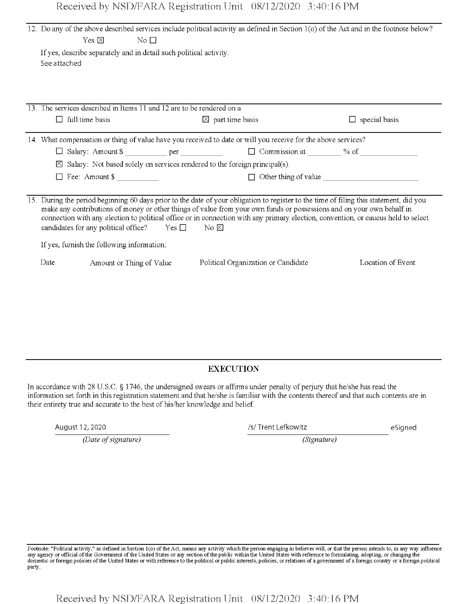|  | Received by NSD/FARA Registration Unit 08/12/2020 3:40:16 PM |  |
|--|--------------------------------------------------------------|--|
|  |                                                              |  |

| 12. Do any of the above described services include political activity as defined in Section 1(o) of the Act and in the footnote below?<br>Yes $\boxtimes$<br>No $\Box$<br>If yes, describe separately and in detail such political activity.<br>See attached                                                                                                                                                                                                    |                                     |                                    |  |  |  |
|-----------------------------------------------------------------------------------------------------------------------------------------------------------------------------------------------------------------------------------------------------------------------------------------------------------------------------------------------------------------------------------------------------------------------------------------------------------------|-------------------------------------|------------------------------------|--|--|--|
| 13. The services described in Items 11 and 12 are to be rendered on a<br>$\Box$ full time basis                                                                                                                                                                                                                                                                                                                                                                 | $\boxtimes$ part time basis         | $\Box$ special basis               |  |  |  |
|                                                                                                                                                                                                                                                                                                                                                                                                                                                                 |                                     |                                    |  |  |  |
| 14. What compensation or thing of value have you received to date or will you receive for the above services?                                                                                                                                                                                                                                                                                                                                                   |                                     |                                    |  |  |  |
| $\Box$                                                                                                                                                                                                                                                                                                                                                                                                                                                          |                                     |                                    |  |  |  |
| Salary: Not based solely on services rendered to the foreign principal(s).<br>×                                                                                                                                                                                                                                                                                                                                                                                 |                                     |                                    |  |  |  |
| Fee: Amount $\frac{1}{2}$<br>ப                                                                                                                                                                                                                                                                                                                                                                                                                                  |                                     | $\Box$ Other thing of value $\Box$ |  |  |  |
|                                                                                                                                                                                                                                                                                                                                                                                                                                                                 |                                     |                                    |  |  |  |
| 15. During the period beginning 60 days prior to the date of your obligation to register to the time of filing this statement, did you<br>make any contributions of money or other things of value from your own funds or possessions and on your own behalf in<br>connection with any election to political office or in connection with any primary election, convention, or caucus held to select<br>candidates for any political office? $Yes \Box$<br>No ⊠ |                                     |                                    |  |  |  |
| If yes, furnish the following information:                                                                                                                                                                                                                                                                                                                                                                                                                      |                                     |                                    |  |  |  |
| Date<br>Amount or Thing of Value                                                                                                                                                                                                                                                                                                                                                                                                                                | Political Organization or Candidate | Location of Event                  |  |  |  |

#### **EXECUTION**

In accordance with 28 U.S.C. § 1746, the undersigned swears or affirms under penalty of perjury that he/she has read the information set forth in this registration statement and that he/she is familiar with the contents thereof and that such contents are in their entirety true and accurate to the best of his/her knowledge and belief.

August 12, 2020

*(Date ofsignature)*

/s/Trent Lefkowitz eSigned

*(Signature)*

Footnote: "Political activity," as defined in Section 1(0) of the Act, means any activity which the person engaging in believes will, or that the person intends to, in any way influence<br>any agency or official of the Govern party.